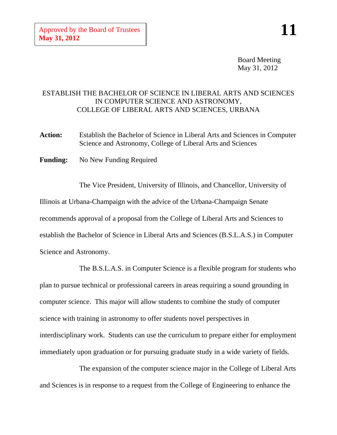Board Meeting May 31, 2012

## ESTABLISH THE BACHELOR OF SCIENCE IN LIBERAL ARTS AND SCIENCES IN COMPUTER SCIENCE AND ASTRONOMY, COLLEGE OF LIBERAL ARTS AND SCIENCES, URBANA

**Action:** Establish the Bachelor of Science in Liberal Arts and Sciences in Computer Science and Astronomy, College of Liberal Arts and Sciences

**Funding:** No New Funding Required

The Vice President, University of Illinois, and Chancellor, University of Illinois at Urbana-Champaign with the advice of the Urbana-Champaign Senate recommends approval of a proposal from the College of Liberal Arts and Sciences to establish the Bachelor of Science in Liberal Arts and Sciences (B.S.L.A.S.) in Computer Science and Astronomy.

The B.S.L.A.S. in Computer Science is a flexible program for students who plan to pursue technical or professional careers in areas requiring a sound grounding in computer science. This major will allow students to combine the study of computer science with training in astronomy to offer students novel perspectives in interdisciplinary work. Students can use the curriculum to prepare either for employment immediately upon graduation or for pursuing graduate study in a wide variety of fields.

The expansion of the computer science major in the College of Liberal Arts and Sciences is in response to a request from the College of Engineering to enhance the